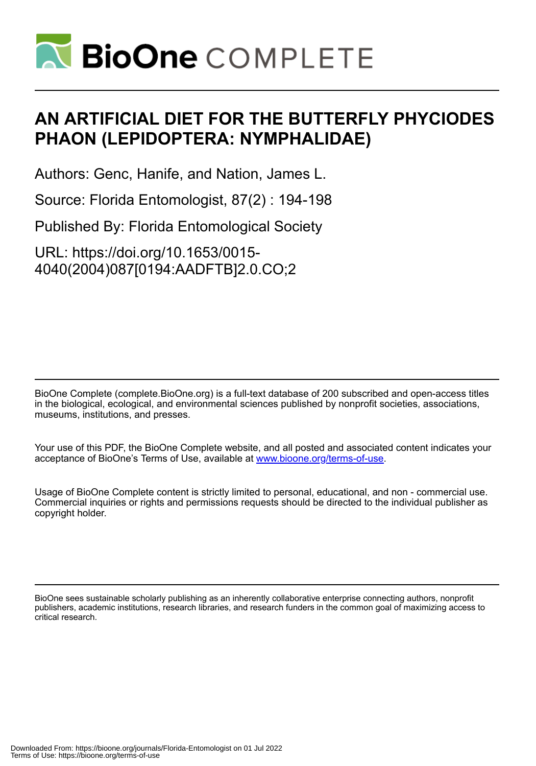

# **AN ARTIFICIAL DIET FOR THE BUTTERFLY PHYCIODES PHAON (LEPIDOPTERA: NYMPHALIDAE)**

Authors: Genc, Hanife, and Nation, James L.

Source: Florida Entomologist, 87(2) : 194-198

Published By: Florida Entomological Society

URL: https://doi.org/10.1653/0015- 4040(2004)087[0194:AADFTB]2.0.CO;2

BioOne Complete (complete.BioOne.org) is a full-text database of 200 subscribed and open-access titles in the biological, ecological, and environmental sciences published by nonprofit societies, associations, museums, institutions, and presses.

Your use of this PDF, the BioOne Complete website, and all posted and associated content indicates your acceptance of BioOne's Terms of Use, available at www.bioone.org/terms-of-use.

Usage of BioOne Complete content is strictly limited to personal, educational, and non - commercial use. Commercial inquiries or rights and permissions requests should be directed to the individual publisher as copyright holder.

BioOne sees sustainable scholarly publishing as an inherently collaborative enterprise connecting authors, nonprofit publishers, academic institutions, research libraries, and research funders in the common goal of maximizing access to critical research.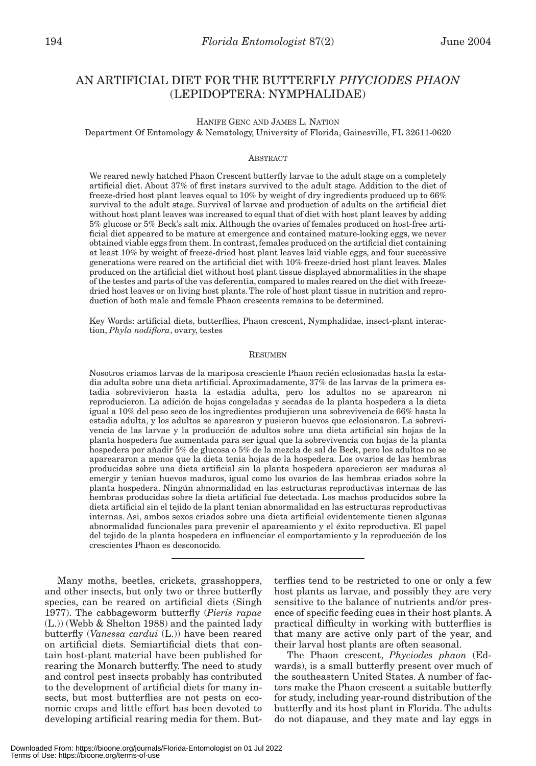# AN ARTIFICIAL DIET FOR THE BUTTERFLY *PHYCIODES PHAON* (LEPIDOPTERA: NYMPHALIDAE)

HANIFE GENC AND JAMES L. NATION

Department Of Entomology & Nematology, University of Florida, Gainesville, FL 32611-0620

# ABSTRACT

We reared newly hatched Phaon Crescent butterfly larvae to the adult stage on a completely artificial diet. About 37% of first instars survived to the adult stage. Addition to the diet of freeze-dried host plant leaves equal to 10% by weight of dry ingredients produced up to 66% survival to the adult stage. Survival of larvae and production of adults on the artificial diet without host plant leaves was increased to equal that of diet with host plant leaves by adding 5% glucose or 5% Beck's salt mix. Although the ovaries of females produced on host-free artificial diet appeared to be mature at emergence and contained mature-looking eggs, we never obtained viable eggs from them. In contrast, females produced on the artificial diet containing at least 10% by weight of freeze-dried host plant leaves laid viable eggs, and four successive generations were reared on the artificial diet with 10% freeze-dried host plant leaves. Males produced on the artificial diet without host plant tissue displayed abnormalities in the shape of the testes and parts of the vas deferentia, compared to males reared on the diet with freezedried host leaves or on living host plants. The role of host plant tissue in nutrition and reproduction of both male and female Phaon crescents remains to be determined.

Key Words: artificial diets, butterflies, Phaon crescent, Nymphalidae, insect-plant interaction, *Phyla nodiflora*, ovary, testes

#### RESUMEN

Nosotros criamos larvas de la mariposa cresciente Phaon recién eclosionadas hasta la estadia adulta sobre una dieta artificial. Aproximadamente, 37% de las larvas de la primera estadia sobrevivieron hasta la estadia adulta, pero los adultos no se aparearon ni reproducieron. La adición de hojas congeladas y secadas de la planta hospedera a la dieta igual a 10% del peso seco de los ingredientes produjieron una sobrevivencia de 66% hasta la estadia adulta, y los adultos se aparearon y pusieron huevos que eclosionaron. La sobrevivencia de las larvae y la producción de adultos sobre una dieta artificial sin hojas de la planta hospedera fue aumentada para ser igual que la sobrevivencia con hojas de la planta hospedera por añadir 5% de glucosa o 5% de la mezcla de sal de Beck, pero los adultos no se apareararon a menos que la dieta tenia hojas de la hospedera. Los ovarios de las hembras producidas sobre una dieta artificial sin la planta hospedera aparecieron ser maduras al emergir y tenian huevos maduros, igual como los ovarios de las hembras criados sobre la planta hospedera. Ningún abnormalidad en las estructuras reproductivas internas de las hembras producidas sobre la dieta artificial fue detectada. Los machos producidos sobre la dieta artificial sin el tejido de la plant tenian abnormalidad en las estructuras reproductivas internas. Asi, ambos sexos criados sobre una dieta artificial evidentemente tienen algunas abnormalidad funcionales para prevenir el apareamiento y el éxito reproductiva. El papel del tejido de la planta hospedera en influenciar el comportamiento y la reproducción de los crescientes Phaon es desconocido.

Many moths, beetles, crickets, grasshoppers, and other insects, but only two or three butterfly species, can be reared on artificial diets (Singh 1977). The cabbageworm butterfly (*Pieris rapae* (L.)) (Webb & Shelton 1988) and the painted lady butterfly (*Vanessa cardui* (L.)) have been reared on artificial diets. Semiartificial diets that contain host-plant material have been published for rearing the Monarch butterfly. The need to study and control pest insects probably has contributed to the development of artificial diets for many insects, but most butterflies are not pests on economic crops and little effort has been devoted to developing artificial rearing media for them. Butterflies tend to be restricted to one or only a few host plants as larvae, and possibly they are very sensitive to the balance of nutrients and/or presence of specific feeding cues in their host plants. A practical difficulty in working with butterflies is that many are active only part of the year, and their larval host plants are often seasonal.

The Phaon crescent, *Phyciodes phaon* (Edwards), is a small butterfly present over much of the southeastern United States. A number of factors make the Phaon crescent a suitable butterfly for study, including year-round distribution of the butterfly and its host plant in Florida. The adults do not diapause, and they mate and lay eggs in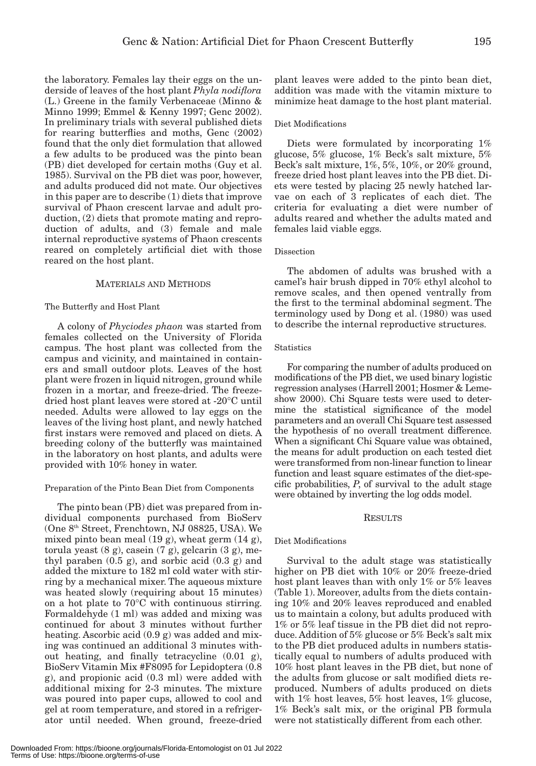the laboratory. Females lay their eggs on the underside of leaves of the host plant *Phyla nodiflora* (L.) Greene in the family Verbenaceae (Minno & Minno 1999; Emmel & Kenny 1997; Genc 2002). In preliminary trials with several published diets for rearing butterflies and moths, Genc (2002) found that the only diet formulation that allowed a few adults to be produced was the pinto bean (PB) diet developed for certain moths (Guy et al. 1985). Survival on the PB diet was poor, however, and adults produced did not mate. Our objectives in this paper are to describe (1) diets that improve survival of Phaon crescent larvae and adult production, (2) diets that promote mating and reproduction of adults, and (3) female and male internal reproductive systems of Phaon crescents reared on completely artificial diet with those reared on the host plant.

# MATERIALS AND METHODS

# The Butterfly and Host Plant

A colony of *Phyciodes phaon* was started from females collected on the University of Florida campus. The host plant was collected from the campus and vicinity, and maintained in containers and small outdoor plots. Leaves of the host plant were frozen in liquid nitrogen, ground while frozen in a mortar, and freeze-dried. The freezedried host plant leaves were stored at -20°C until needed. Adults were allowed to lay eggs on the leaves of the living host plant, and newly hatched first instars were removed and placed on diets. A breeding colony of the butterfly was maintained in the laboratory on host plants, and adults were provided with 10% honey in water.

# Preparation of the Pinto Bean Diet from Components

The pinto bean (PB) diet was prepared from individual components purchased from BioServ (One 8th Street, Frenchtown, NJ 08825, USA). We mixed pinto bean meal (19 g), wheat germ (14 g), torula yeast  $(8 \text{ g})$ , casein  $(7 \text{ g})$ , gelcarin  $(3 \text{ g})$ , methyl paraben  $(0.5 \text{ g})$ , and sorbic acid  $(0.3 \text{ g})$  and added the mixture to 182 ml cold water with stirring by a mechanical mixer. The aqueous mixture was heated slowly (requiring about 15 minutes) on a hot plate to 70°C with continuous stirring. Formaldehyde (1 ml) was added and mixing was continued for about 3 minutes without further heating. Ascorbic acid (0.9 g) was added and mixing was continued an additional 3 minutes without heating, and finally tetracycline (0.01 g), BioServ Vitamin Mix #F8095 for Lepidoptera (0.8 g), and propionic acid (0.3 ml) were added with additional mixing for 2-3 minutes. The mixture was poured into paper cups, allowed to cool and gel at room temperature, and stored in a refrigerator until needed. When ground, freeze-dried

#### Diet Modifications

Diets were formulated by incorporating 1% glucose, 5% glucose, 1% Beck's salt mixture, 5% Beck's salt mixture, 1%, 5%, 10%, or 20% ground, freeze dried host plant leaves into the PB diet. Diets were tested by placing 25 newly hatched larvae on each of 3 replicates of each diet. The criteria for evaluating a diet were number of adults reared and whether the adults mated and females laid viable eggs.

#### Dissection

The abdomen of adults was brushed with a camel's hair brush dipped in 70% ethyl alcohol to remove scales, and then opened ventrally from the first to the terminal abdominal segment. The terminology used by Dong et al. (1980) was used to describe the internal reproductive structures.

#### **Statistics**

For comparing the number of adults produced on modifications of the PB diet, we used binary logistic regression analyses (Harrell 2001; Hosmer & Lemeshow 2000). Chi Square tests were used to determine the statistical significance of the model parameters and an overall Chi Square test assessed the hypothesis of no overall treatment difference. When a significant Chi Square value was obtained, the means for adult production on each tested diet were transformed from non-linear function to linear function and least square estimates of the diet-specific probabilities, *P*, of survival to the adult stage were obtained by inverting the log odds model.

# **RESULTS**

# Diet Modifications

Survival to the adult stage was statistically higher on PB diet with 10% or 20% freeze-dried host plant leaves than with only 1% or 5% leaves (Table 1). Moreover, adults from the diets containing 10% and 20% leaves reproduced and enabled us to maintain a colony, but adults produced with 1% or 5% leaf tissue in the PB diet did not reproduce. Addition of 5% glucose or 5% Beck's salt mix to the PB diet produced adults in numbers statistically equal to numbers of adults produced with 10% host plant leaves in the PB diet, but none of the adults from glucose or salt modified diets reproduced. Numbers of adults produced on diets with 1% host leaves, 5% host leaves, 1% glucose, 1% Beck's salt mix, or the original PB formula were not statistically different from each other.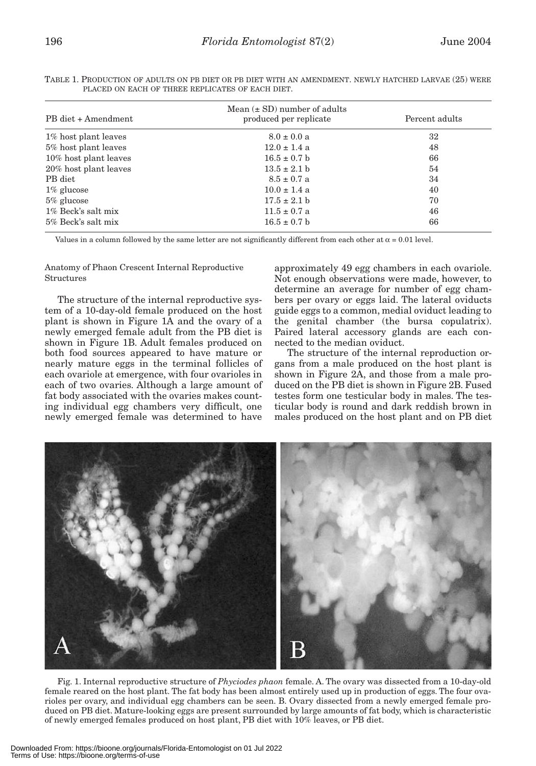| h<br>۰. |  |  |  |
|---------|--|--|--|
|         |  |  |  |

| PB diet + Amendment   | Mean $(\pm SD)$ number of adults<br>produced per replicate | Percent adults |  |
|-----------------------|------------------------------------------------------------|----------------|--|
| 1% host plant leaves  | $8.0 \pm 0.0 a$                                            | 32             |  |
| 5% host plant leaves  | $12.0 \pm 1.4$ a                                           | 48             |  |
| 10% host plant leaves | $16.5 \pm 0.7$ b                                           | 66             |  |
| 20% host plant leaves | $13.5 \pm 2.1 b$                                           | 54             |  |
| PB diet               | $8.5 \pm 0.7$ a                                            | 34             |  |
| $1\%$ glucose         | $10.0 \pm 1.4$ a                                           | 40             |  |
| $5\%$ glucose         | $17.5 \pm 2.1$ b                                           | 70             |  |
| 1% Beck's salt mix    | $11.5 \pm 0.7$ a                                           | 46             |  |
| 5% Beck's salt mix    | $16.5 \pm 0.7$ b                                           | 66             |  |

TABLE 1. PRODUCTION OF ADULTS ON PB DIET OR PB DIET WITH AN AMENDMENT. NEWLY HATCHED LARVAE (25) WERE PLACED ON EACH OF THREE REPLICATES OF EACH DIET.

Values in a column followed by the same letter are not significantly different from each other at  $\alpha = 0.01$  level.

Anatomy of Phaon Crescent Internal Reproductive **Structures** 

The structure of the internal reproductive system of a 10-day-old female produced on the host plant is shown in Figure 1A and the ovary of a newly emerged female adult from the PB diet is shown in Figure 1B. Adult females produced on both food sources appeared to have mature or nearly mature eggs in the terminal follicles of each ovariole at emergence, with four ovarioles in each of two ovaries. Although a large amount of fat body associated with the ovaries makes counting individual egg chambers very difficult, one newly emerged female was determined to have

approximately 49 egg chambers in each ovariole. Not enough observations were made, however, to determine an average for number of egg chambers per ovary or eggs laid. The lateral oviducts guide eggs to a common, medial oviduct leading to the genital chamber (the bursa copulatrix). Paired lateral accessory glands are each connected to the median oviduct.

The structure of the internal reproduction organs from a male produced on the host plant is shown in Figure 2A, and those from a male produced on the PB diet is shown in Figure 2B. Fused testes form one testicular body in males. The testicular body is round and dark reddish brown in males produced on the host plant and on PB diet



Fig. 1. Internal reproductive structure of *Phyciodes phaon* female. A. The ovary was dissected from a 10-day-old female reared on the host plant. The fat body has been almost entirely used up in production of eggs. The four ovarioles per ovary, and individual egg chambers can be seen. B. Ovary dissected from a newly emerged female produced on PB diet. Mature-looking eggs are present surrounded by large amounts of fat body, which is characteristic of newly emerged females produced on host plant, PB diet with 10% leaves, or PB diet.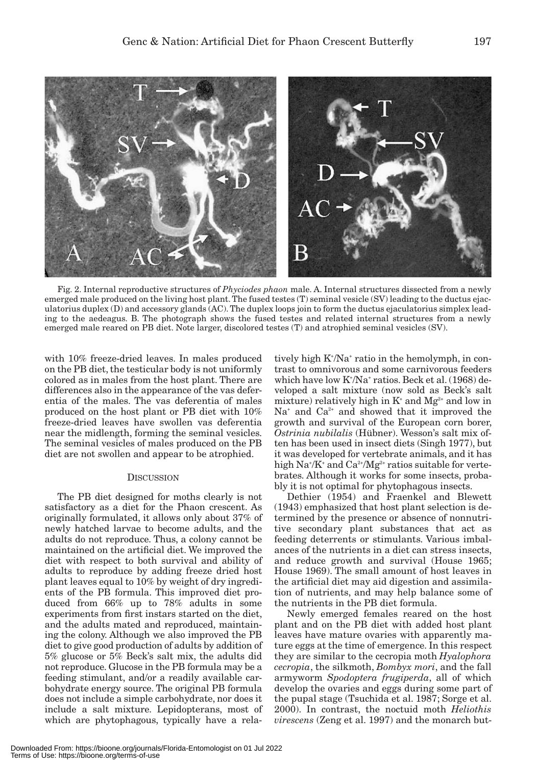

Fig. 2. Internal reproductive structures of *Phyciodes phaon* male. A. Internal structures dissected from a newly emerged male produced on the living host plant. The fused testes (T) seminal vesicle (SV) leading to the ductus ejaculatorius duplex (D) and accessory glands (AC). The duplex loops join to form the ductus ejaculatorius simplex leading to the aedeagus. B. The photograph shows the fused testes and related internal structures from a newly emerged male reared on PB diet. Note larger, discolored testes (T) and atrophied seminal vesicles (SV).

with 10% freeze-dried leaves. In males produced on the PB diet, the testicular body is not uniformly colored as in males from the host plant. There are differences also in the appearance of the vas deferentia of the males. The vas deferentia of males produced on the host plant or PB diet with 10% freeze-dried leaves have swollen vas deferentia near the midlength, forming the seminal vesicles. The seminal vesicles of males produced on the PB diet are not swollen and appear to be atrophied.

# **DISCUSSION**

The PB diet designed for moths clearly is not satisfactory as a diet for the Phaon crescent. As originally formulated, it allows only about 37% of newly hatched larvae to become adults, and the adults do not reproduce. Thus, a colony cannot be maintained on the artificial diet. We improved the diet with respect to both survival and ability of adults to reproduce by adding freeze dried host plant leaves equal to 10% by weight of dry ingredients of the PB formula. This improved diet produced from 66% up to 78% adults in some experiments from first instars started on the diet, and the adults mated and reproduced, maintaining the colony. Although we also improved the PB diet to give good production of adults by addition of 5% glucose or 5% Beck's salt mix, the adults did not reproduce. Glucose in the PB formula may be a feeding stimulant, and/or a readily available carbohydrate energy source. The original PB formula does not include a simple carbohydrate, nor does it include a salt mixture. Lepidopterans, most of which are phytophagous, typically have a rela-

tively high K<sup>+</sup>/Na<sup>+</sup> ratio in the hemolymph, in contrast to omnivorous and some carnivorous feeders which have low K+ /Na+ ratios. Beck et al. (1968) developed a salt mixture (now sold as Beck's salt mixture) relatively high in  $\mathrm{K}^{\scriptscriptstyle +}$  and  $\mathrm{Mg^{2+}}$  and low in  $Na<sup>+</sup>$  and  $Ca<sup>2+</sup>$  and showed that it improved the growth and survival of the European corn borer, *Ostrinia nubilalis* (Hübner). Wesson's salt mix often has been used in insect diets (Singh 1977), but it was developed for vertebrate animals, and it has high  $\rm Na^*/K^*$  and  $\rm Ca^{2+}/Mg^{2+}$  ratios suitable for vertebrates. Although it works for some insects, probably it is not optimal for phytophagous insects.

Dethier (1954) and Fraenkel and Blewett (1943) emphasized that host plant selection is determined by the presence or absence of nonnutritive secondary plant substances that act as feeding deterrents or stimulants. Various imbalances of the nutrients in a diet can stress insects, and reduce growth and survival (House 1965; House 1969). The small amount of host leaves in the artificial diet may aid digestion and assimilation of nutrients, and may help balance some of the nutrients in the PB diet formula.

Newly emerged females reared on the host plant and on the PB diet with added host plant leaves have mature ovaries with apparently mature eggs at the time of emergence. In this respect they are similar to the cecropia moth *Hyalophora cecropia*, the silkmoth, *Bombyx mori*, and the fall armyworm *Spodoptera frugiperda*, all of which develop the ovaries and eggs during some part of the pupal stage (Tsuchida et al. 1987; Sorge et al. 2000). In contrast, the noctuid moth *Heliothis virescens* (Zeng et al. 1997) and the monarch but